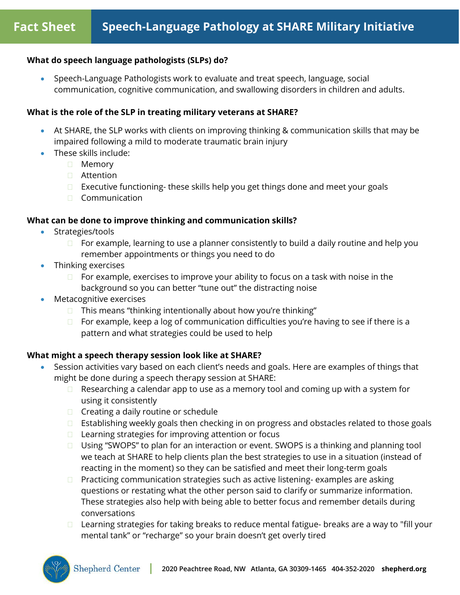# **What do speech language pathologists (SLPs) do?**

• Speech-Language Pathologists work to evaluate and treat speech, language, social communication, cognitive communication, and swallowing disorders in children and adults.

### **What is the role of the SLP in treating military veterans at SHARE?**

- At SHARE, the SLP works with clients on improving thinking & communication skills that may be impaired following a mild to moderate traumatic brain injury
- These skills include:
	- □ Memory
	- **E** Attention
	- □ Executive functioning-these skills help you get things done and meet your goals
	- Communication

# **What can be done to improve thinking and communication skills?**

- Strategies/tools
	- $\Box$  For example, learning to use a planner consistently to build a daily routine and help you remember appointments or things you need to do
- Thinking exercises
	- $\Box$  For example, exercises to improve your ability to focus on a task with noise in the background so you can better "tune out" the distracting noise
- Metacognitive exercises
	- $\Box$  This means "thinking intentionally about how you're thinking"
	- $\Box$  For example, keep a log of communication difficulties you're having to see if there is a pattern and what strategies could be used to help

# **What might a speech therapy session look like at SHARE?**

- Session activities vary based on each client's needs and goals. Here are examples of things that might be done during a speech therapy session at SHARE:
	- $\Box$  Researching a calendar app to use as a memory tool and coming up with a system for using it consistently
	- $\Box$  Creating a daily routine or schedule
	- $\Box$  Establishing weekly goals then checking in on progress and obstacles related to those goals
	- $\Box$  Learning strategies for improving attention or focus
	- □ Using "SWOPS" to plan for an interaction or event. SWOPS is a thinking and planning tool we teach at SHARE to help clients plan the best strategies to use in a situation (instead of reacting in the moment) so they can be satisfied and meet their long-term goals
	- $\Box$  Practicing communication strategies such as active listening-examples are asking questions or restating what the other person said to clarify or summarize information. These strategies also help with being able to better focus and remember details during conversations
	- $\Box$  Learning strategies for taking breaks to reduce mental fatigue- breaks are a way to "fill your mental tank" or "recharge" so your brain doesn't get overly tired